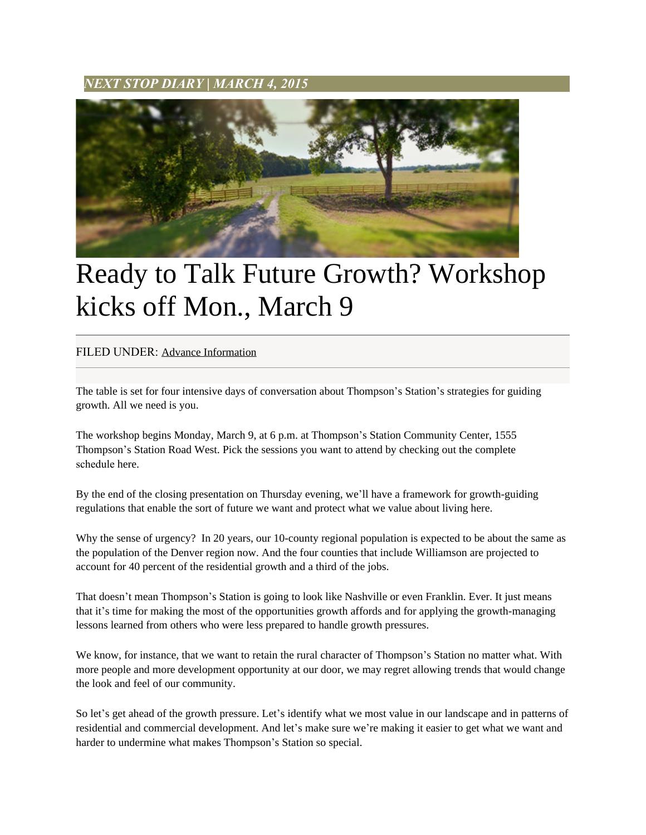*NEXT STOP DIARY* **|** *MARCH 4, 2015*



## Ready to Talk Future Growth? Workshop kicks off Mon., March 9

## FILED UNDER: [Advance Information](http://www.nextstopts.com/category/advance-information/)

The table is set for four intensive days of conversation about Thompson's Station's strategies for guiding growth. All we need is you.

The workshop begins Monday, March 9, at 6 p.m. at Thompson's Station Community Center, 1555 Thompson's Station Road West. Pick the sessions you want to attend by checking out the complete schedule here.

By the end of the closing presentation on Thursday evening, we'll have a framework for growth-guiding regulations that enable the sort of future we want and protect what we value about living here.

Why the sense of urgency? In 20 years, our 10-county regional population is expected to be about the same as the population of the Denver region now. And the four counties that include Williamson are projected to account for 40 percent of the residential growth and a third of the jobs.

That doesn't mean Thompson's Station is going to look like Nashville or even Franklin. Ever. It just means that it's time for making the most of the opportunities growth affords and for applying the growth-managing lessons learned from others who were less prepared to handle growth pressures.

We know, for instance, that we want to retain the rural character of Thompson's Station no matter what. With more people and more development opportunity at our door, we may regret allowing trends that would change the look and feel of our community.

So let's get ahead of the growth pressure. Let's identify what we most value in our landscape and in patterns of residential and commercial development. And let's make sure we're making it easier to get what we want and harder to undermine what makes Thompson's Station so special.